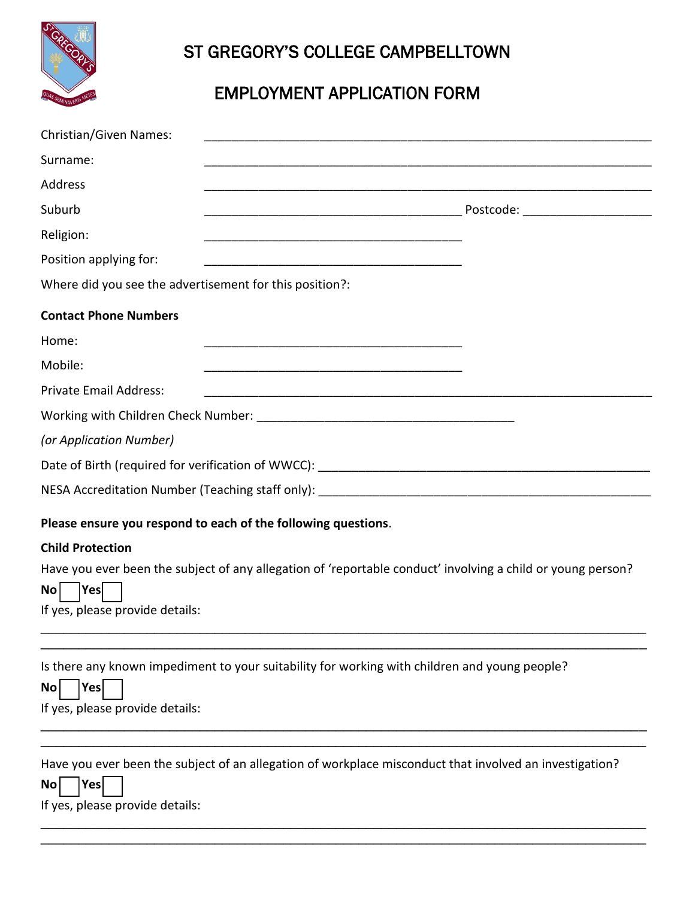

## ST GREGORY'S COLLEGE CAMPBELLTOWN

## EMPLOYMENT APPLICATION FORM

| <b>Christian/Given Names:</b>                                                                                                                                        |  |
|----------------------------------------------------------------------------------------------------------------------------------------------------------------------|--|
| Surname:                                                                                                                                                             |  |
| Address                                                                                                                                                              |  |
| Suburb                                                                                                                                                               |  |
| Religion:                                                                                                                                                            |  |
| Position applying for:<br><u> 1980 - Jan James James Barnett, fransk politik (d. 1980)</u>                                                                           |  |
| Where did you see the advertisement for this position?:                                                                                                              |  |
| <b>Contact Phone Numbers</b>                                                                                                                                         |  |
| Home:                                                                                                                                                                |  |
| Mobile:                                                                                                                                                              |  |
| <b>Private Email Address:</b>                                                                                                                                        |  |
|                                                                                                                                                                      |  |
| (or Application Number)                                                                                                                                              |  |
|                                                                                                                                                                      |  |
|                                                                                                                                                                      |  |
| Please ensure you respond to each of the following questions.                                                                                                        |  |
| <b>Child Protection</b>                                                                                                                                              |  |
| Have you ever been the subject of any allegation of 'reportable conduct' involving a child or young person?<br> Yes <br><b>No</b><br>If yes, please provide details: |  |
| Is there any known impediment to your suitability for working with children and young people?<br>Yes<br>No <sub>1</sub><br>If yes, please provide details:           |  |
| Have you ever been the subject of an allegation of workplace misconduct that involved an investigation?<br>Yes<br>No<br>If yes, please provide details:              |  |